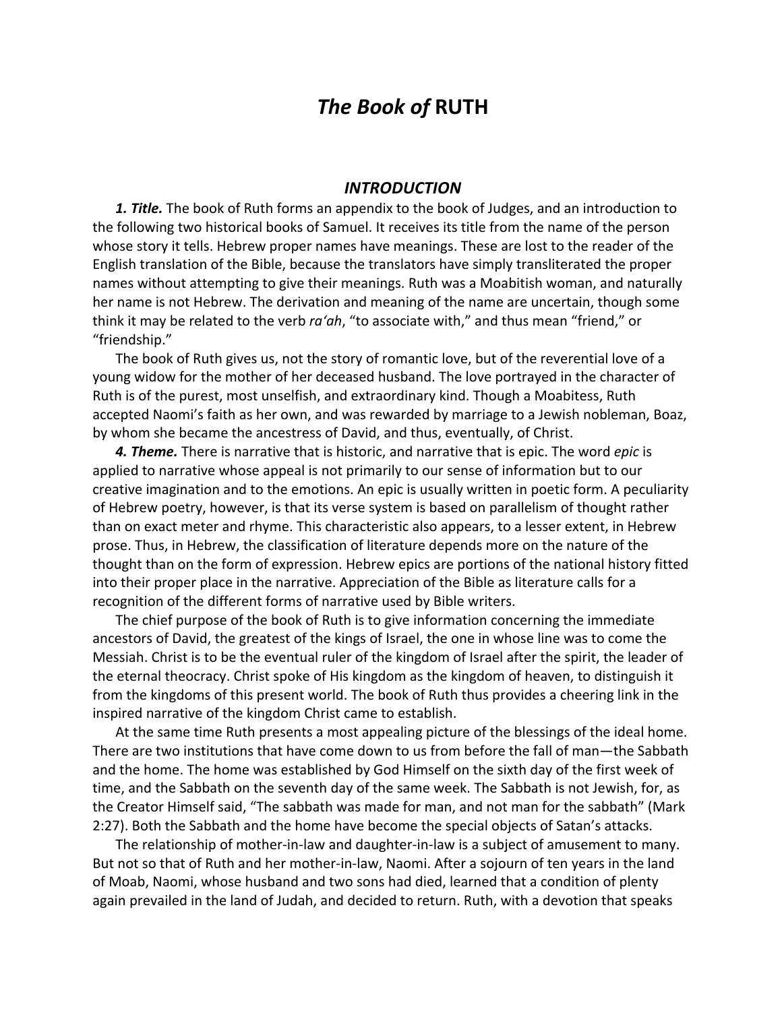## *The Book of* **RUTH**

## *INTRODUCTION*

*1. Title.* The book of Ruth forms an appendix to the book of Judges, and an introduction to the following two historical books of Samuel. It receives its title from the name of the person whose story it tells. Hebrew proper names have meanings. These are lost to the reader of the English translation of the Bible, because the translators have simply transliterated the proper names without attempting to give their meanings. Ruth was a Moabitish woman, and naturally her name is not Hebrew. The derivation and meaning of the name are uncertain, though some think it may be related to the verb *ra'ah*, "to associate with," and thus mean "friend," or "friendship."

The book of Ruth gives us, not the story of romantic love, but of the reverential love of a young widow for the mother of her deceased husband. The love portrayed in the character of Ruth is of the purest, most unselfish, and extraordinary kind. Though a Moabitess, Ruth accepted Naomi's faith as her own, and was rewarded by marriage to a Jewish nobleman, Boaz, by whom she became the ancestress of David, and thus, eventually, of Christ.

*4. Theme.* There is narrative that is historic, and narrative that is epic. The word *epic* is applied to narrative whose appeal is not primarily to our sense of information but to our creative imagination and to the emotions. An epic is usually written in poetic form. A peculiarity of Hebrew poetry, however, is that its verse system is based on parallelism of thought rather than on exact meter and rhyme. This characteristic also appears, to a lesser extent, in Hebrew prose. Thus, in Hebrew, the classification of literature depends more on the nature of the thought than on the form of expression. Hebrew epics are portions of the national history fitted into their proper place in the narrative. Appreciation of the Bible as literature calls for a recognition of the different forms of narrative used by Bible writers.

The chief purpose of the book of Ruth is to give information concerning the immediate ancestors of David, the greatest of the kings of Israel, the one in whose line was to come the Messiah. Christ is to be the eventual ruler of the kingdom of Israel after the spirit, the leader of the eternal theocracy. Christ spoke of His kingdom as the kingdom of heaven, to distinguish it from the kingdoms of this present world. The book of Ruth thus provides a cheering link in the inspired narrative of the kingdom Christ came to establish.

At the same time Ruth presents a most appealing picture of the blessings of the ideal home. There are two institutions that have come down to us from before the fall of man—the Sabbath and the home. The home was established by God Himself on the sixth day of the first week of time, and the Sabbath on the seventh day of the same week. The Sabbath is not Jewish, for, as the Creator Himself said, "The sabbath was made for man, and not man for the sabbath" (Mark 2:27). Both the Sabbath and the home have become the special objects of Satan's attacks.

The relationship of mother-in-law and daughter-in-law is a subject of amusement to many. But not so that of Ruth and her mother-in-law, Naomi. After a sojourn of ten years in the land of Moab, Naomi, whose husband and two sons had died, learned that a condition of plenty again prevailed in the land of Judah, and decided to return. Ruth, with a devotion that speaks